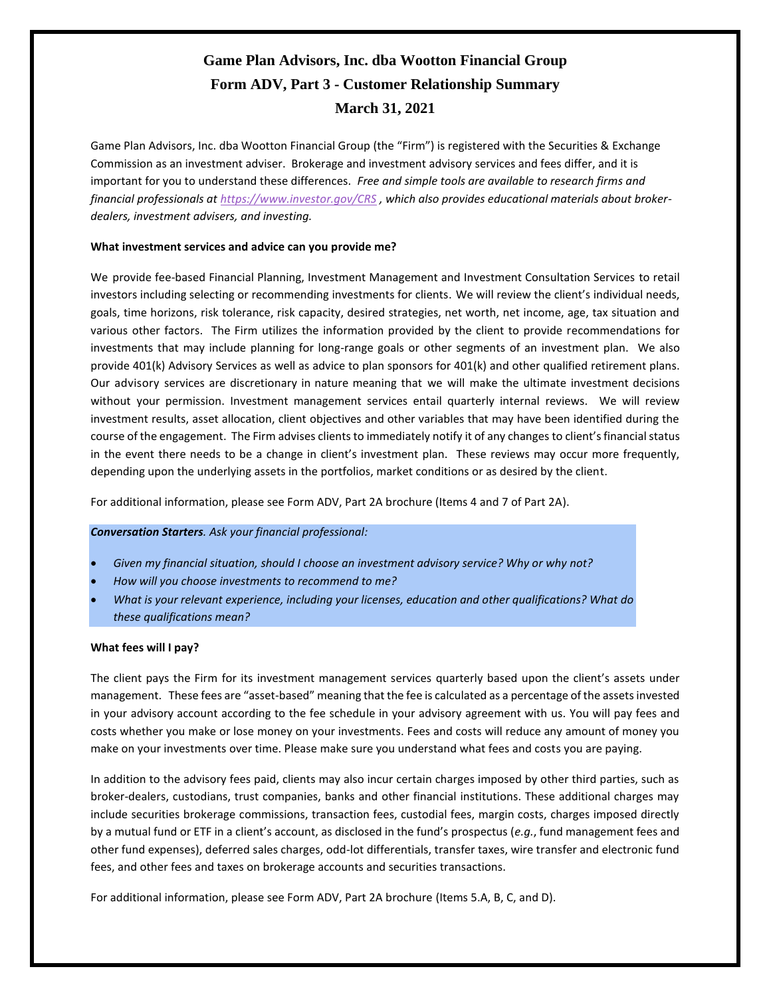# **Game Plan Advisors, Inc. dba Wootton Financial Group Form ADV, Part 3 - Customer Relationship Summary March 31, 2021**

Game Plan Advisors, Inc. dba Wootton Financial Group (the "Firm") is registered with the Securities & Exchange Commission as an investment adviser. Brokerage and investment advisory services and fees differ, and it is important for you to understand these differences. *Free and simple tools are available to research firms and financial professionals at <https://www.investor.gov/CRS> , which also provides educational materials about brokerdealers, investment advisers, and investing.*

#### **What investment services and advice can you provide me?**

We provide fee-based Financial Planning, Investment Management and Investment Consultation Services to retail investors including selecting or recommending investments for clients. We will review the client's individual needs, goals, time horizons, risk tolerance, risk capacity, desired strategies, net worth, net income, age, tax situation and various other factors. The Firm utilizes the information provided by the client to provide recommendations for investments that may include planning for long-range goals or other segments of an investment plan. We also provide 401(k) Advisory Services as well as advice to plan sponsors for 401(k) and other qualified retirement plans. Our advisory services are discretionary in nature meaning that we will make the ultimate investment decisions without your permission. Investment management services entail quarterly internal reviews. We will review investment results, asset allocation, client objectives and other variables that may have been identified during the course of the engagement. The Firm advises clients to immediately notify it of any changes to client's financial status in the event there needs to be a change in client's investment plan. These reviews may occur more frequently, depending upon the underlying assets in the portfolios, market conditions or as desired by the client.

For additional information, please see Form ADV, Part 2A brochure (Items 4 and 7 of Part 2A).

#### *Conversation Starters. Ask your financial professional:*

- *Given my financial situation, should I choose an investment advisory service? Why or why not?*
- *How will you choose investments to recommend to me?*
- *What is your relevant experience, including your licenses, education and other qualifications? What do these qualifications mean?*

#### **What fees will I pay?**

The client pays the Firm for its investment management services quarterly based upon the client's assets under management. These fees are "asset-based" meaning that the fee is calculated as a percentage of the assets invested in your advisory account according to the fee schedule in your advisory agreement with us. You will pay fees and costs whether you make or lose money on your investments. Fees and costs will reduce any amount of money you make on your investments over time. Please make sure you understand what fees and costs you are paying.

In addition to the advisory fees paid, clients may also incur certain charges imposed by other third parties, such as broker-dealers, custodians, trust companies, banks and other financial institutions. These additional charges may include securities brokerage commissions, transaction fees, custodial fees, margin costs, charges imposed directly by a mutual fund or ETF in a client's account, as disclosed in the fund's prospectus (*e.g.*, fund management fees and other fund expenses), deferred sales charges, odd-lot differentials, transfer taxes, wire transfer and electronic fund fees, and other fees and taxes on brokerage accounts and securities transactions.

For additional information, please see Form ADV, Part 2A brochure (Items 5.A, B, C, and D).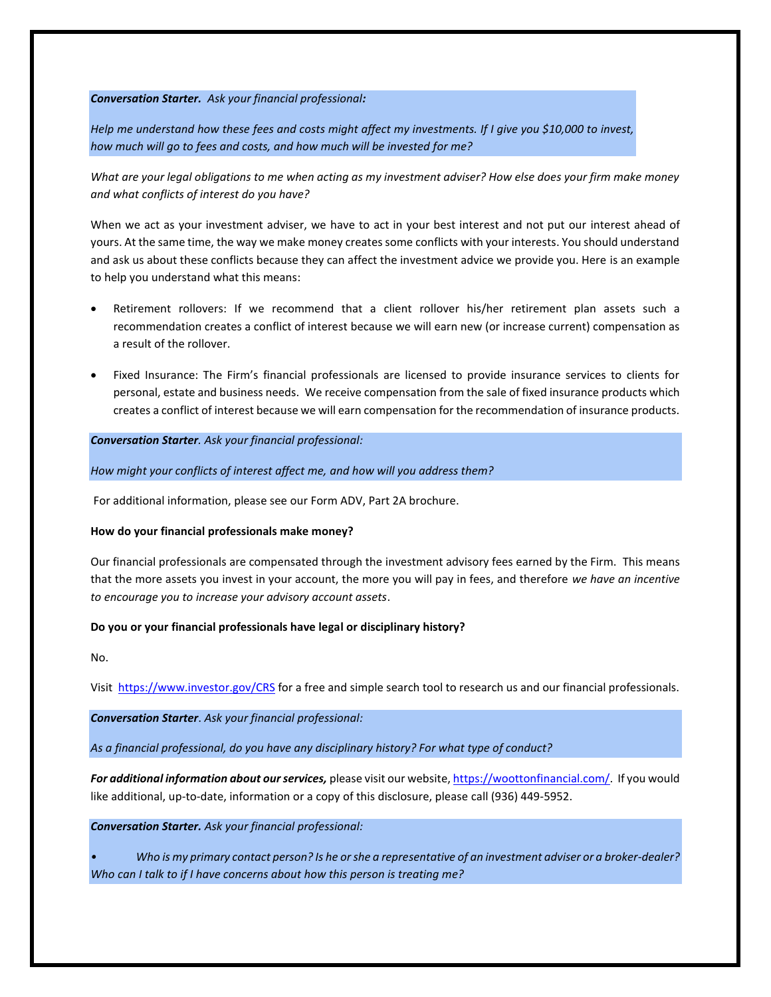#### *Conversation Starter. Ask your financial professional:*

*Help me understand how these fees and costs might affect my investments. If I give you \$10,000 to invest, how much will go to fees and costs, and how much will be invested for me?*

*What are your legal obligations to me when acting as my investment adviser? How else does your firm make money and what conflicts of interest do you have?* 

When we act as your investment adviser, we have to act in your best interest and not put our interest ahead of yours. At the same time, the way we make money creates some conflicts with your interests. You should understand and ask us about these conflicts because they can affect the investment advice we provide you. Here is an example to help you understand what this means:

- Retirement rollovers: If we recommend that a client rollover his/her retirement plan assets such a recommendation creates a conflict of interest because we will earn new (or increase current) compensation as a result of the rollover.
- Fixed Insurance: The Firm's financial professionals are licensed to provide insurance services to clients for personal, estate and business needs. We receive compensation from the sale of fixed insurance products which creates a conflict of interest because we will earn compensation for the recommendation of insurance products.

*Conversation Starter. Ask your financial professional:*

*How might your conflicts of interest affect me, and how will you address them?*

For additional information, please see our Form ADV, Part 2A brochure.

#### **How do your financial professionals make money?**

Our financial professionals are compensated through the investment advisory fees earned by the Firm. This means that the more assets you invest in your account, the more you will pay in fees, and therefore *we have an incentive to encourage you to increase your advisory account assets*.

#### **Do you or your financial professionals have legal or disciplinary history?**

No.

Visit <https://www.investor.gov/CRS> for a free and simple search tool to research us and our financial professionals.

*Conversation Starter*. *Ask your financial professional:*

*As a financial professional, do you have any disciplinary history? For what type of conduct?*

*For additional information about our services,* please visit our website[, https://woottonfinancial.com/.](https://woottonfinancial.com/) If you would like additional, up-to-date, information or a copy of this disclosure, please call (936) 449-5952.

*Conversation Starter. Ask your financial professional:*

*• Who is my primary contact person? Is he or she a representative of an investment adviser or a broker-dealer? Who can I talk to if I have concerns about how this person is treating me?*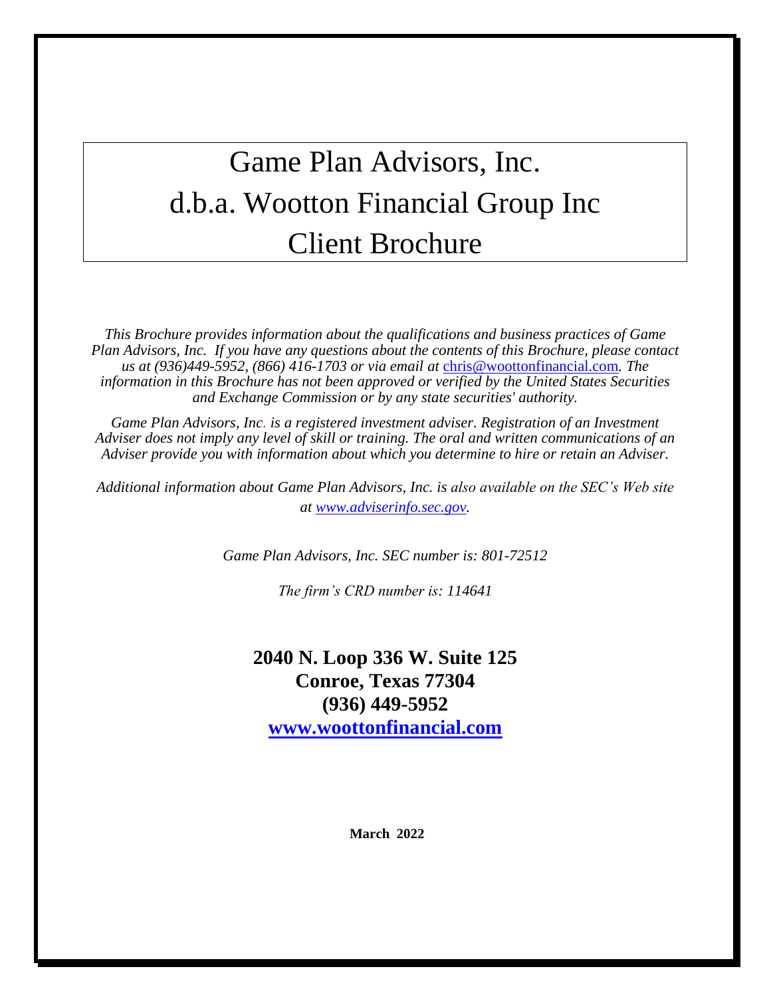# <span id="page-2-0"></span>Game Plan Advisors, Inc. d.b.a. Wootton Financial Group Inc Client Brochure

*This Brochure provides information about the qualifications and business practices of Game Plan Advisors, Inc. If you have any questions about the contents of this Brochure, please contact us at (936)449-5952, (866) 416-1703 or via email at* [chris@woottonfinancial.com](mailto:chris@craigwear.com)*. The information in this Brochure has not been approved or verified by the United States Securities and Exchange Commission or by any state securities' authority.*

*Game Plan Advisors, Inc. is a registered investment adviser. Registration of an Investment Adviser does not imply any level of skill or training. The oral and written communications of an Adviser provide you with information about which you determine to hire or retain an Adviser.*

*Additional information about Game Plan Advisors, Inc. is also available on the SEC's Web site at [www.adviserinfo.sec.gov.](http://www.adviserinfo.sec.gov/)*

*Game Plan Advisors, Inc. SEC number is: 801-72512*

*The firm's CRD number is: 114641*

**2040 N. Loop 336 W. Suite 125 Conroe, Texas 77304 (936) 449-5952 [www.woottonfinancial.com](http://www.craigwear.com/)**

**March 2022**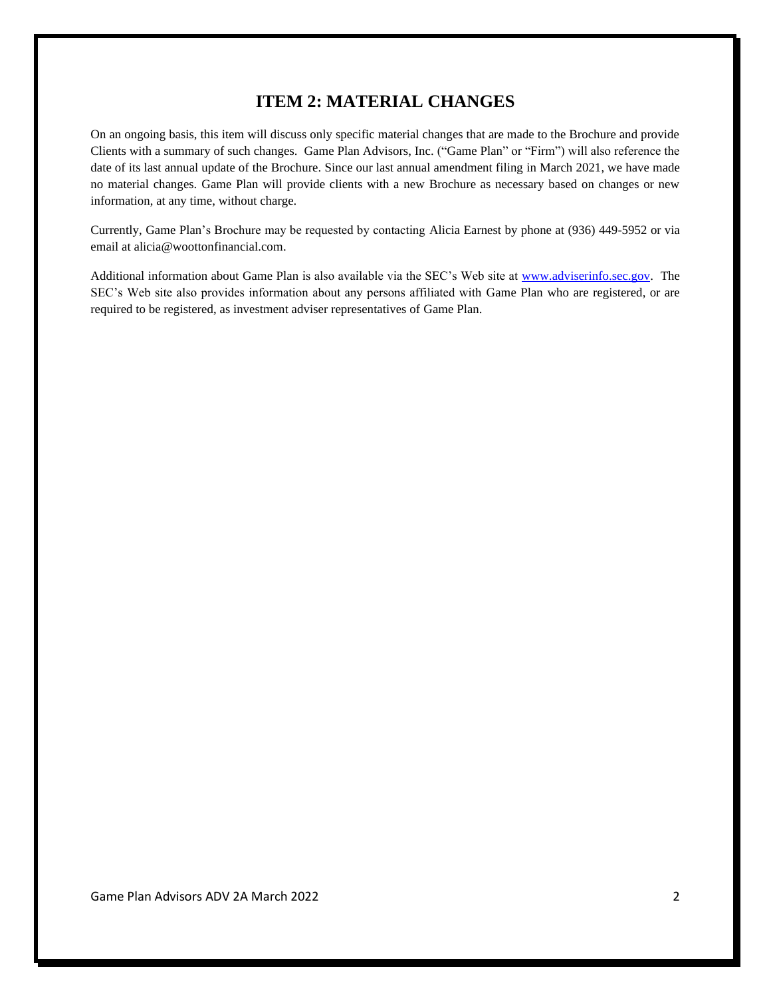## **ITEM 2: MATERIAL CHANGES**

<span id="page-3-0"></span>On an ongoing basis, this item will discuss only specific material changes that are made to the Brochure and provide Clients with a summary of such changes. Game Plan Advisors, Inc. ("Game Plan" or "Firm") will also reference the date of its last annual update of the Brochure. Since our last annual amendment filing in March 2021, we have made no material changes. Game Plan will provide clients with a new Brochure as necessary based on changes or new information, at any time, without charge.

Currently, Game Plan's Brochure may be requested by contacting Alicia Earnest by phone at (936) 449-5952 or via email at alicia@woottonfinancial.com.

Additional information about Game Plan is also available via the SEC's Web site at [www.adviserinfo.sec.gov.](http://www.adviserinfo.sec.gov/) The SEC's Web site also provides information about any persons affiliated with Game Plan who are registered, or are required to be registered, as investment adviser representatives of Game Plan.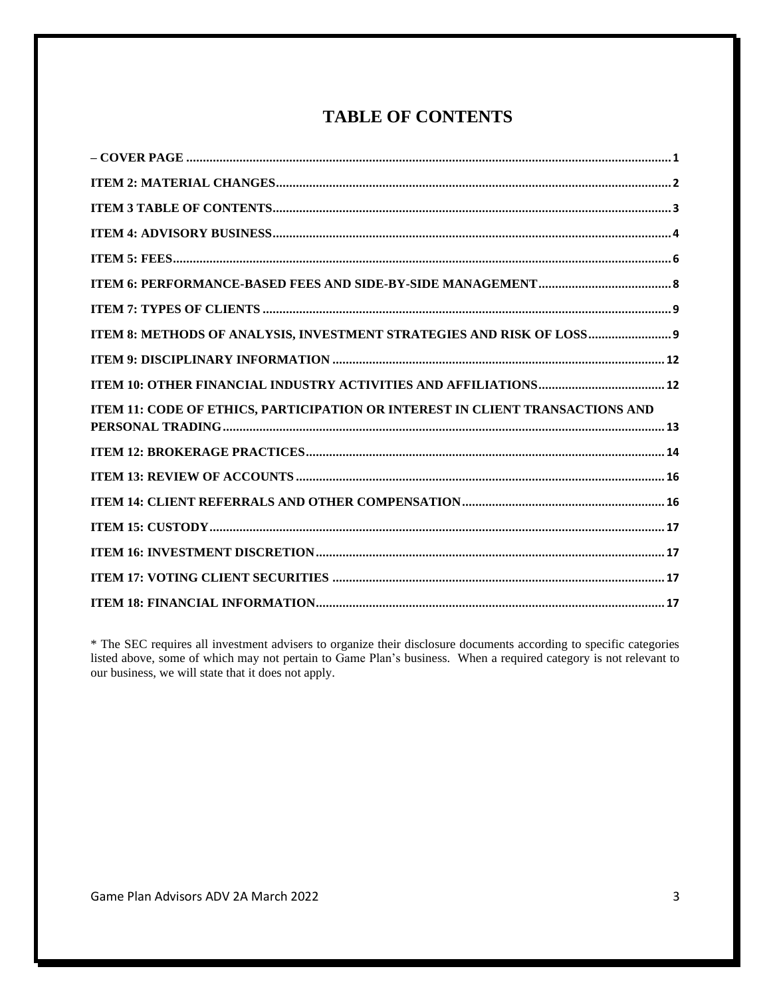# **TABLE OF CONTENTS**

<span id="page-4-0"></span>

| ITEM 8: METHODS OF ANALYSIS, INVESTMENT STRATEGIES AND RISK OF LOSS 9         |
|-------------------------------------------------------------------------------|
|                                                                               |
|                                                                               |
| ITEM 11: CODE OF ETHICS, PARTICIPATION OR INTEREST IN CLIENT TRANSACTIONS AND |
|                                                                               |
|                                                                               |
|                                                                               |
|                                                                               |
|                                                                               |
|                                                                               |
|                                                                               |

\* The SEC requires all investment advisers to organize their disclosure documents according to specific categories listed above, some of which may not pertain to Game Plan's business. When a required category is not relevant to our business, we will state that it does not apply.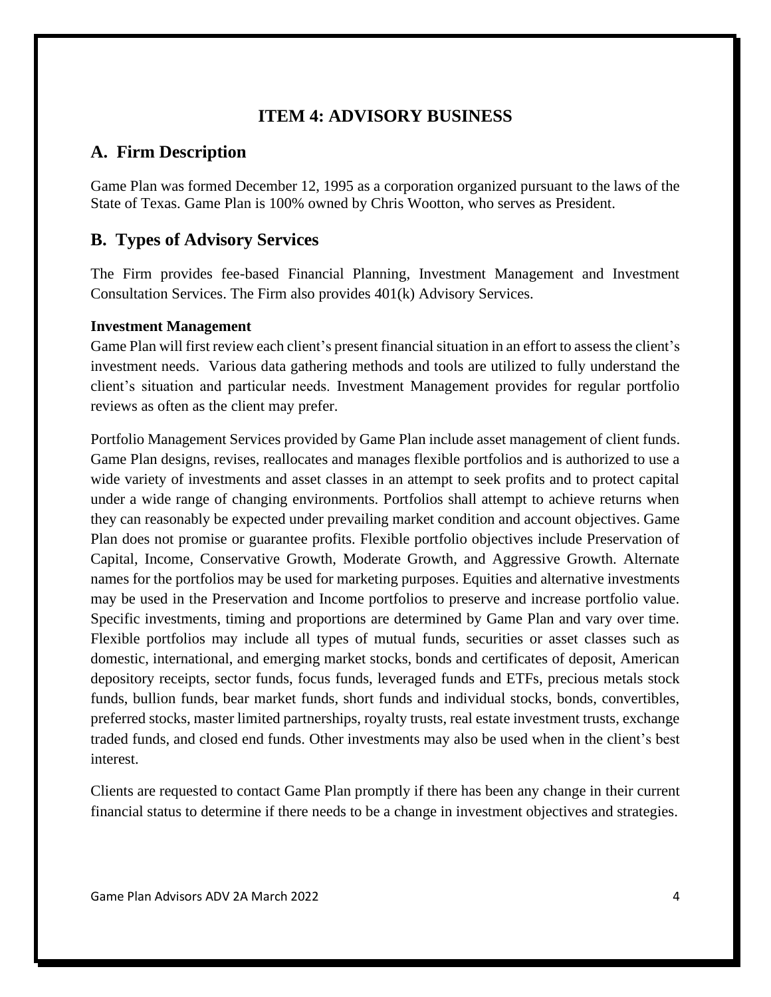## **ITEM 4: ADVISORY BUSINESS**

## <span id="page-5-0"></span>**A. Firm Description**

Game Plan was formed December 12, 1995 as a corporation organized pursuant to the laws of the State of Texas. Game Plan is 100% owned by Chris Wootton, who serves as President.

# **B. Types of Advisory Services**

The Firm provides fee-based Financial Planning, Investment Management and Investment Consultation Services. The Firm also provides 401(k) Advisory Services.

#### **Investment Management**

Game Plan will first review each client's present financial situation in an effort to assess the client's investment needs. Various data gathering methods and tools are utilized to fully understand the client's situation and particular needs. Investment Management provides for regular portfolio reviews as often as the client may prefer.

Portfolio Management Services provided by Game Plan include asset management of client funds. Game Plan designs, revises, reallocates and manages flexible portfolios and is authorized to use a wide variety of investments and asset classes in an attempt to seek profits and to protect capital under a wide range of changing environments. Portfolios shall attempt to achieve returns when they can reasonably be expected under prevailing market condition and account objectives. Game Plan does not promise or guarantee profits. Flexible portfolio objectives include Preservation of Capital, Income, Conservative Growth, Moderate Growth, and Aggressive Growth. Alternate names for the portfolios may be used for marketing purposes. Equities and alternative investments may be used in the Preservation and Income portfolios to preserve and increase portfolio value. Specific investments, timing and proportions are determined by Game Plan and vary over time. Flexible portfolios may include all types of mutual funds, securities or asset classes such as domestic, international, and emerging market stocks, bonds and certificates of deposit, American depository receipts, sector funds, focus funds, leveraged funds and ETFs, precious metals stock funds, bullion funds, bear market funds, short funds and individual stocks, bonds, convertibles, preferred stocks, master limited partnerships, royalty trusts, real estate investment trusts, exchange traded funds, and closed end funds. Other investments may also be used when in the client's best interest.

Clients are requested to contact Game Plan promptly if there has been any change in their current financial status to determine if there needs to be a change in investment objectives and strategies.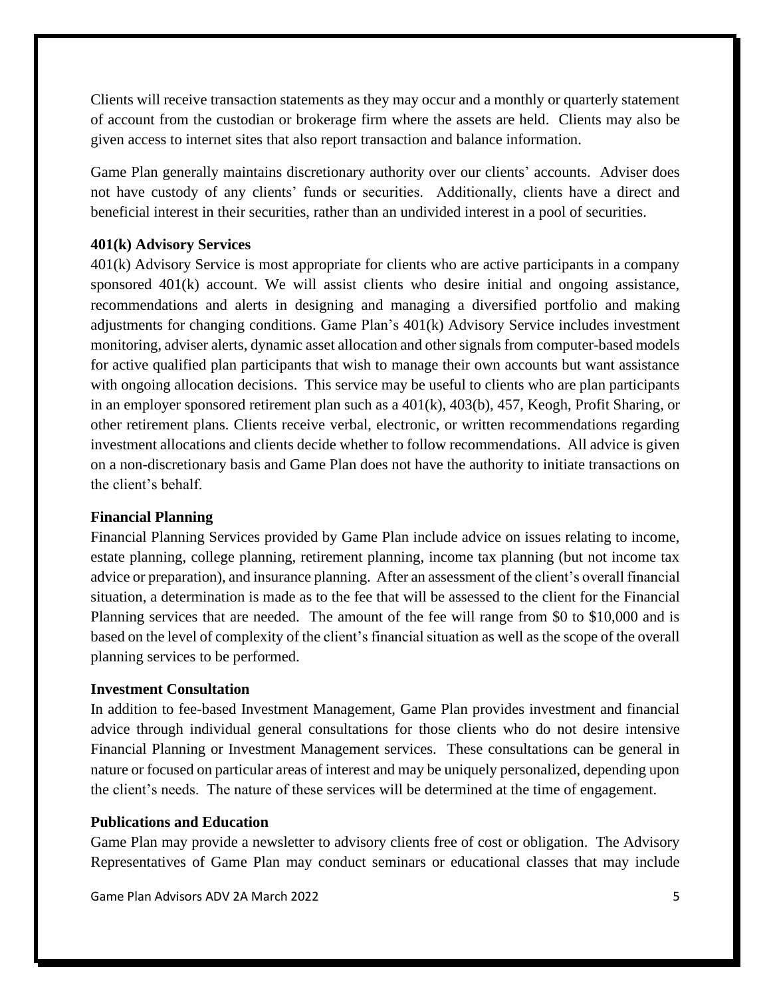Clients will receive transaction statements as they may occur and a monthly or quarterly statement of account from the custodian or brokerage firm where the assets are held. Clients may also be given access to internet sites that also report transaction and balance information.

Game Plan generally maintains discretionary authority over our clients' accounts. Adviser does not have custody of any clients' funds or securities. Additionally, clients have a direct and beneficial interest in their securities, rather than an undivided interest in a pool of securities.

#### **401(k) Advisory Services**

401(k) Advisory Service is most appropriate for clients who are active participants in a company sponsored 401(k) account. We will assist clients who desire initial and ongoing assistance, recommendations and alerts in designing and managing a diversified portfolio and making adjustments for changing conditions. Game Plan's 401(k) Advisory Service includes investment monitoring, adviser alerts, dynamic asset allocation and other signals from computer-based models for active qualified plan participants that wish to manage their own accounts but want assistance with ongoing allocation decisions. This service may be useful to clients who are plan participants in an employer sponsored retirement plan such as a 401(k), 403(b), 457, Keogh, Profit Sharing, or other retirement plans. Clients receive verbal, electronic, or written recommendations regarding investment allocations and clients decide whether to follow recommendations. All advice is given on a non-discretionary basis and Game Plan does not have the authority to initiate transactions on the client's behalf.

#### **Financial Planning**

Financial Planning Services provided by Game Plan include advice on issues relating to income, estate planning, college planning, retirement planning, income tax planning (but not income tax advice or preparation), and insurance planning. After an assessment of the client's overall financial situation, a determination is made as to the fee that will be assessed to the client for the Financial Planning services that are needed. The amount of the fee will range from \$0 to \$10,000 and is based on the level of complexity of the client's financial situation as well as the scope of the overall planning services to be performed.

#### **Investment Consultation**

In addition to fee-based Investment Management, Game Plan provides investment and financial advice through individual general consultations for those clients who do not desire intensive Financial Planning or Investment Management services. These consultations can be general in nature or focused on particular areas of interest and may be uniquely personalized, depending upon the client's needs. The nature of these services will be determined at the time of engagement.

#### **Publications and Education**

Game Plan may provide a newsletter to advisory clients free of cost or obligation. The Advisory Representatives of Game Plan may conduct seminars or educational classes that may include

Game Plan Advisors ADV 2A March 2022 5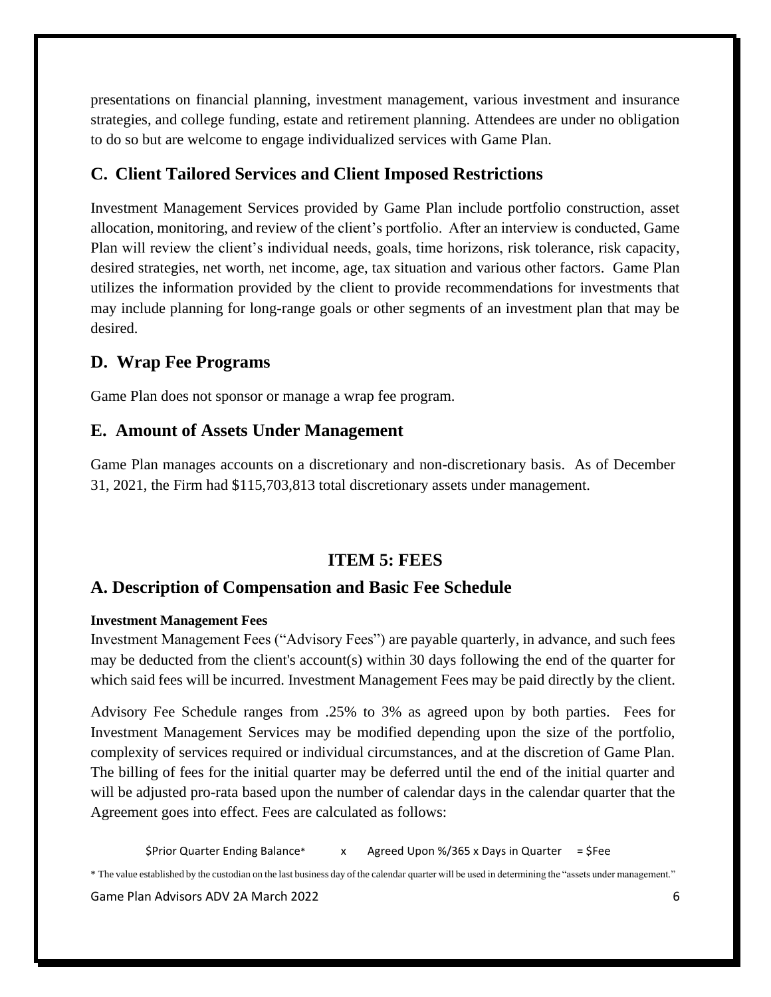presentations on financial planning, investment management, various investment and insurance strategies, and college funding, estate and retirement planning. Attendees are under no obligation to do so but are welcome to engage individualized services with Game Plan.

## **C. Client Tailored Services and Client Imposed Restrictions**

Investment Management Services provided by Game Plan include portfolio construction, asset allocation, monitoring, and review of the client's portfolio. After an interview is conducted, Game Plan will review the client's individual needs, goals, time horizons, risk tolerance, risk capacity, desired strategies, net worth, net income, age, tax situation and various other factors. Game Plan utilizes the information provided by the client to provide recommendations for investments that may include planning for long-range goals or other segments of an investment plan that may be desired.

# **D. Wrap Fee Programs**

Game Plan does not sponsor or manage a wrap fee program.

## **E. Amount of Assets Under Management**

Game Plan manages accounts on a discretionary and non-discretionary basis. As of December 31, 2021, the Firm had \$115,703,813 total discretionary assets under management.

# **ITEM 5: FEES**

# <span id="page-7-0"></span>**A. Description of Compensation and Basic Fee Schedule**

#### **Investment Management Fees**

Investment Management Fees ("Advisory Fees") are payable quarterly, in advance, and such fees may be deducted from the client's account(s) within 30 days following the end of the quarter for which said fees will be incurred. Investment Management Fees may be paid directly by the client.

Advisory Fee Schedule ranges from .25% to 3% as agreed upon by both parties. Fees for Investment Management Services may be modified depending upon the size of the portfolio, complexity of services required or individual circumstances, and at the discretion of Game Plan. The billing of fees for the initial quarter may be deferred until the end of the initial quarter and will be adjusted pro-rata based upon the number of calendar days in the calendar quarter that the Agreement goes into effect. Fees are calculated as follows:

 $$Prior$  Quarter Ending Balance\* x Agreed Upon %/365 x Days in Quarter =  $$Fe$ e

\* The value established by the custodian on the last business day of the calendar quarter will be used in determining the "assets under management."

Game Plan Advisors ADV 2A March 2022 6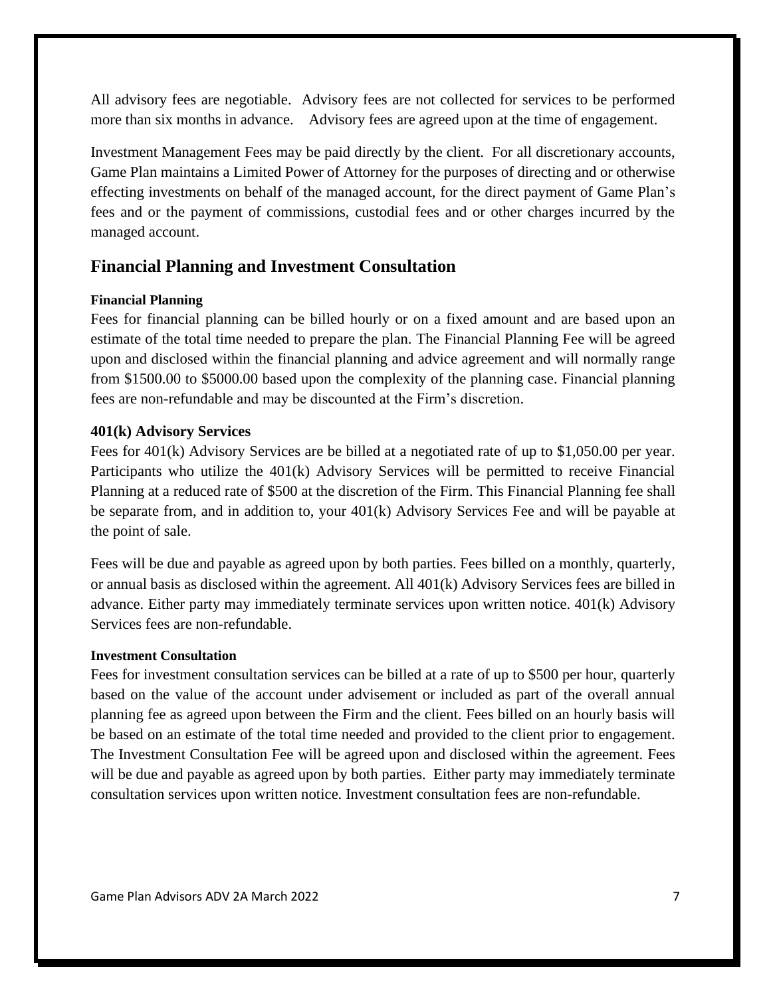All advisory fees are negotiable. Advisory fees are not collected for services to be performed more than six months in advance. Advisory fees are agreed upon at the time of engagement.

Investment Management Fees may be paid directly by the client. For all discretionary accounts, Game Plan maintains a Limited Power of Attorney for the purposes of directing and or otherwise effecting investments on behalf of the managed account, for the direct payment of Game Plan's fees and or the payment of commissions, custodial fees and or other charges incurred by the managed account.

#### **Financial Planning and Investment Consultation**

#### **Financial Planning**

Fees for financial planning can be billed hourly or on a fixed amount and are based upon an estimate of the total time needed to prepare the plan. The Financial Planning Fee will be agreed upon and disclosed within the financial planning and advice agreement and will normally range from \$1500.00 to \$5000.00 based upon the complexity of the planning case. Financial planning fees are non-refundable and may be discounted at the Firm's discretion.

#### **401(k) Advisory Services**

Fees for 401(k) Advisory Services are be billed at a negotiated rate of up to \$1,050.00 per year. Participants who utilize the 401(k) Advisory Services will be permitted to receive Financial Planning at a reduced rate of \$500 at the discretion of the Firm. This Financial Planning fee shall be separate from, and in addition to, your 401(k) Advisory Services Fee and will be payable at the point of sale.

Fees will be due and payable as agreed upon by both parties. Fees billed on a monthly, quarterly, or annual basis as disclosed within the agreement. All 401(k) Advisory Services fees are billed in advance. Either party may immediately terminate services upon written notice. 401(k) Advisory Services fees are non-refundable.

#### **Investment Consultation**

Fees for investment consultation services can be billed at a rate of up to \$500 per hour, quarterly based on the value of the account under advisement or included as part of the overall annual planning fee as agreed upon between the Firm and the client. Fees billed on an hourly basis will be based on an estimate of the total time needed and provided to the client prior to engagement. The Investment Consultation Fee will be agreed upon and disclosed within the agreement. Fees will be due and payable as agreed upon by both parties. Either party may immediately terminate consultation services upon written notice. Investment consultation fees are non-refundable.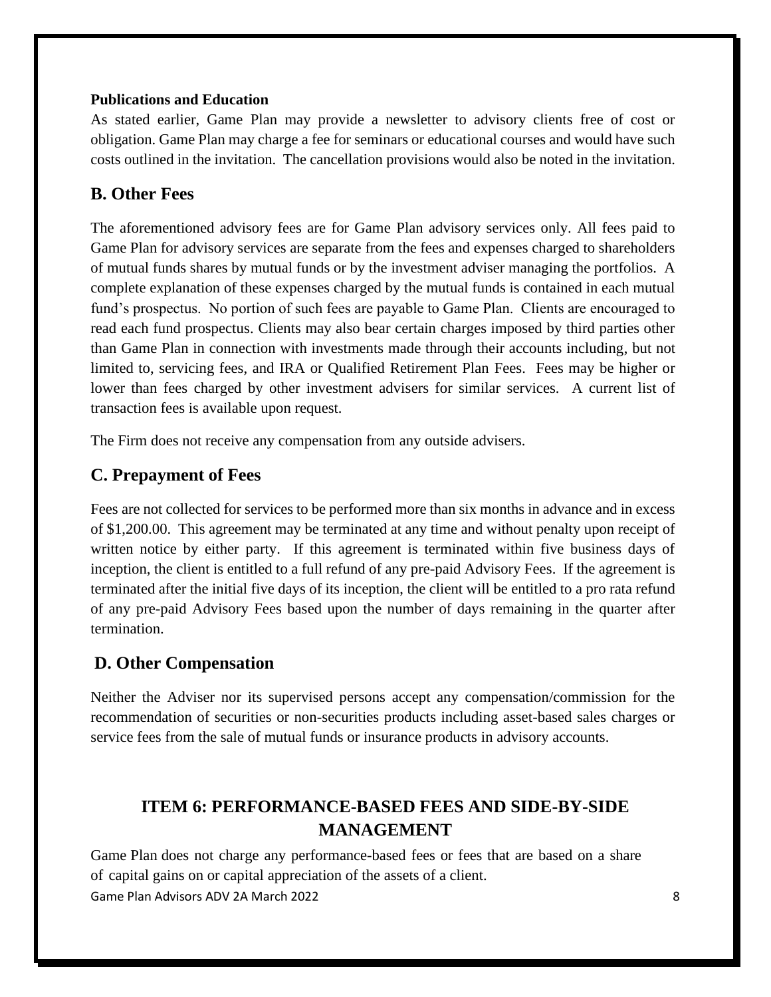#### **Publications and Education**

As stated earlier, Game Plan may provide a newsletter to advisory clients free of cost or obligation. Game Plan may charge a fee for seminars or educational courses and would have such costs outlined in the invitation. The cancellation provisions would also be noted in the invitation.

# **B. Other Fees**

The aforementioned advisory fees are for Game Plan advisory services only. All fees paid to Game Plan for advisory services are separate from the fees and expenses charged to shareholders of mutual funds shares by mutual funds or by the investment adviser managing the portfolios. A complete explanation of these expenses charged by the mutual funds is contained in each mutual fund's prospectus. No portion of such fees are payable to Game Plan. Clients are encouraged to read each fund prospectus. Clients may also bear certain charges imposed by third parties other than Game Plan in connection with investments made through their accounts including, but not limited to, servicing fees, and IRA or Qualified Retirement Plan Fees. Fees may be higher or lower than fees charged by other investment advisers for similar services. A current list of transaction fees is available upon request.

The Firm does not receive any compensation from any outside advisers.

## **C. Prepayment of Fees**

Fees are not collected for services to be performed more than six months in advance and in excess of \$1,200.00. This agreement may be terminated at any time and without penalty upon receipt of written notice by either party. If this agreement is terminated within five business days of inception, the client is entitled to a full refund of any pre-paid Advisory Fees. If the agreement is terminated after the initial five days of its inception, the client will be entitled to a pro rata refund of any pre-paid Advisory Fees based upon the number of days remaining in the quarter after termination.

# **D. Other Compensation**

Neither the Adviser nor its supervised persons accept any compensation/commission for the recommendation of securities or non-securities products including asset-based sales charges or service fees from the sale of mutual funds or insurance products in advisory accounts.

# <span id="page-9-0"></span>**ITEM 6: PERFORMANCE-BASED FEES AND SIDE-BY-SIDE MANAGEMENT**

Game Plan Advisors ADV 2A March 2022 8 Game Plan does not charge any performance-based fees or fees that are based on a share of capital gains on or capital appreciation of the assets of a client.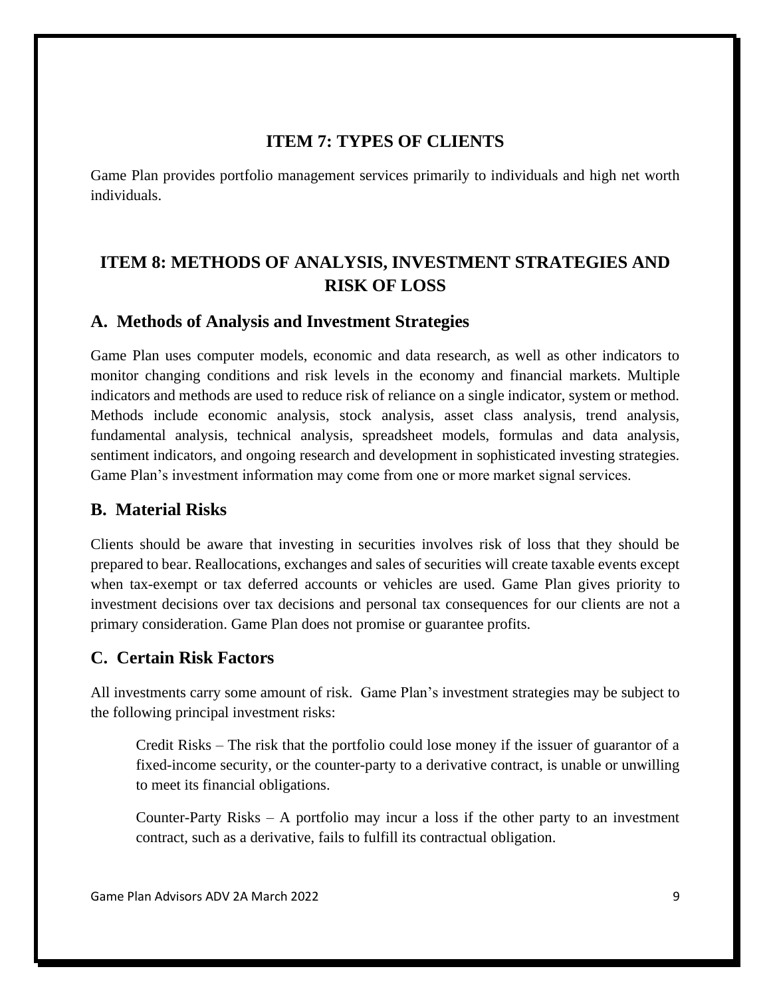## **ITEM 7: TYPES OF CLIENTS**

<span id="page-10-0"></span>Game Plan provides portfolio management services primarily to individuals and high net worth individuals.

# <span id="page-10-1"></span>**ITEM 8: METHODS OF ANALYSIS, INVESTMENT STRATEGIES AND RISK OF LOSS**

## **A. Methods of Analysis and Investment Strategies**

Game Plan uses computer models, economic and data research, as well as other indicators to monitor changing conditions and risk levels in the economy and financial markets. Multiple indicators and methods are used to reduce risk of reliance on a single indicator, system or method. Methods include economic analysis, stock analysis, asset class analysis, trend analysis, fundamental analysis, technical analysis, spreadsheet models, formulas and data analysis, sentiment indicators, and ongoing research and development in sophisticated investing strategies. Game Plan's investment information may come from one or more market signal services.

## **B. Material Risks**

Clients should be aware that investing in securities involves risk of loss that they should be prepared to bear. Reallocations, exchanges and sales of securities will create taxable events except when tax-exempt or tax deferred accounts or vehicles are used. Game Plan gives priority to investment decisions over tax decisions and personal tax consequences for our clients are not a primary consideration. Game Plan does not promise or guarantee profits.

# **C. Certain Risk Factors**

All investments carry some amount of risk. Game Plan's investment strategies may be subject to the following principal investment risks:

Credit Risks – The risk that the portfolio could lose money if the issuer of guarantor of a fixed-income security, or the counter-party to a derivative contract, is unable or unwilling to meet its financial obligations.

Counter-Party Risks – A portfolio may incur a loss if the other party to an investment contract, such as a derivative, fails to fulfill its contractual obligation.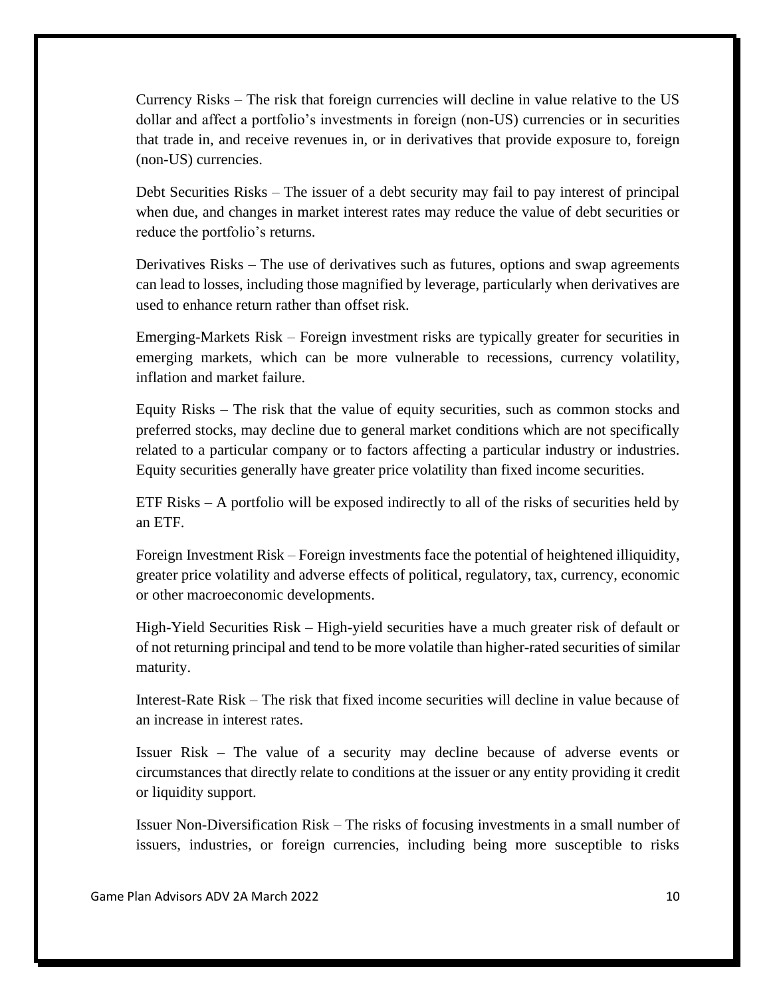Currency Risks – The risk that foreign currencies will decline in value relative to the US dollar and affect a portfolio's investments in foreign (non-US) currencies or in securities that trade in, and receive revenues in, or in derivatives that provide exposure to, foreign (non-US) currencies.

Debt Securities Risks – The issuer of a debt security may fail to pay interest of principal when due, and changes in market interest rates may reduce the value of debt securities or reduce the portfolio's returns.

Derivatives Risks – The use of derivatives such as futures, options and swap agreements can lead to losses, including those magnified by leverage, particularly when derivatives are used to enhance return rather than offset risk.

Emerging-Markets Risk – Foreign investment risks are typically greater for securities in emerging markets, which can be more vulnerable to recessions, currency volatility, inflation and market failure.

Equity Risks – The risk that the value of equity securities, such as common stocks and preferred stocks, may decline due to general market conditions which are not specifically related to a particular company or to factors affecting a particular industry or industries. Equity securities generally have greater price volatility than fixed income securities.

ETF Risks – A portfolio will be exposed indirectly to all of the risks of securities held by an ETF.

Foreign Investment Risk – Foreign investments face the potential of heightened illiquidity, greater price volatility and adverse effects of political, regulatory, tax, currency, economic or other macroeconomic developments.

High-Yield Securities Risk – High-yield securities have a much greater risk of default or of not returning principal and tend to be more volatile than higher-rated securities of similar maturity.

Interest-Rate Risk – The risk that fixed income securities will decline in value because of an increase in interest rates.

Issuer Risk – The value of a security may decline because of adverse events or circumstances that directly relate to conditions at the issuer or any entity providing it credit or liquidity support.

Issuer Non-Diversification Risk – The risks of focusing investments in a small number of issuers, industries, or foreign currencies, including being more susceptible to risks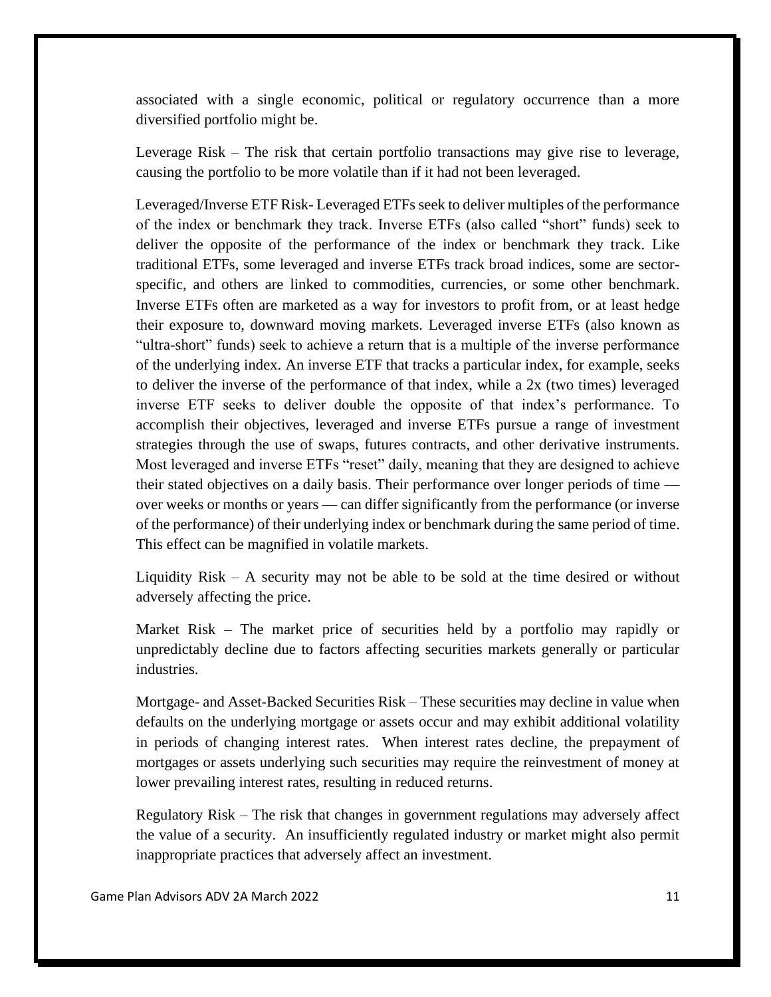associated with a single economic, political or regulatory occurrence than a more diversified portfolio might be.

Leverage Risk – The risk that certain portfolio transactions may give rise to leverage, causing the portfolio to be more volatile than if it had not been leveraged.

Leveraged/Inverse ETF Risk- Leveraged ETFs seek to deliver multiples of the performance of the index or benchmark they track. Inverse ETFs (also called "short" funds) seek to deliver the opposite of the performance of the index or benchmark they track. Like traditional ETFs, some leveraged and inverse ETFs track broad indices, some are sectorspecific, and others are linked to commodities, currencies, or some other benchmark. Inverse ETFs often are marketed as a way for investors to profit from, or at least hedge their exposure to, downward moving markets. Leveraged inverse ETFs (also known as "ultra-short" funds) seek to achieve a return that is a multiple of the inverse performance of the underlying index. An inverse ETF that tracks a particular index, for example, seeks to deliver the inverse of the performance of that index, while a 2x (two times) leveraged inverse ETF seeks to deliver double the opposite of that index's performance. To accomplish their objectives, leveraged and inverse ETFs pursue a range of investment strategies through the use of swaps, futures contracts, and other derivative instruments. Most leveraged and inverse ETFs "reset" daily, meaning that they are designed to achieve their stated objectives on a daily basis. Their performance over longer periods of time over weeks or months or years — can differ significantly from the performance (or inverse of the performance) of their underlying index or benchmark during the same period of time. This effect can be magnified in volatile markets.

Liquidity Risk – A security may not be able to be sold at the time desired or without adversely affecting the price.

Market Risk – The market price of securities held by a portfolio may rapidly or unpredictably decline due to factors affecting securities markets generally or particular industries.

Mortgage- and Asset-Backed Securities Risk – These securities may decline in value when defaults on the underlying mortgage or assets occur and may exhibit additional volatility in periods of changing interest rates. When interest rates decline, the prepayment of mortgages or assets underlying such securities may require the reinvestment of money at lower prevailing interest rates, resulting in reduced returns.

Regulatory Risk – The risk that changes in government regulations may adversely affect the value of a security. An insufficiently regulated industry or market might also permit inappropriate practices that adversely affect an investment.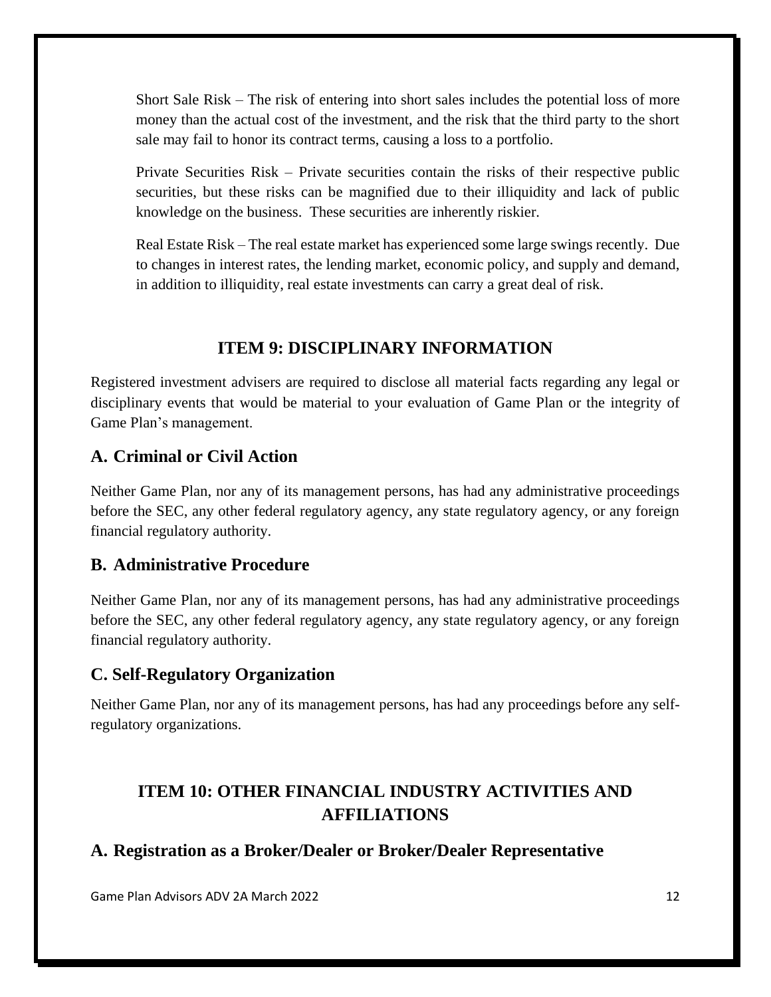Short Sale Risk – The risk of entering into short sales includes the potential loss of more money than the actual cost of the investment, and the risk that the third party to the short sale may fail to honor its contract terms, causing a loss to a portfolio.

Private Securities Risk – Private securities contain the risks of their respective public securities, but these risks can be magnified due to their illiquidity and lack of public knowledge on the business. These securities are inherently riskier.

Real Estate Risk – The real estate market has experienced some large swings recently. Due to changes in interest rates, the lending market, economic policy, and supply and demand, in addition to illiquidity, real estate investments can carry a great deal of risk.

# **ITEM 9: DISCIPLINARY INFORMATION**

<span id="page-13-0"></span>Registered investment advisers are required to disclose all material facts regarding any legal or disciplinary events that would be material to your evaluation of Game Plan or the integrity of Game Plan's management.

## **A. Criminal or Civil Action**

Neither Game Plan, nor any of its management persons, has had any administrative proceedings before the SEC, any other federal regulatory agency, any state regulatory agency, or any foreign financial regulatory authority.

## **B. Administrative Procedure**

Neither Game Plan, nor any of its management persons, has had any administrative proceedings before the SEC, any other federal regulatory agency, any state regulatory agency, or any foreign financial regulatory authority.

## **C. Self-Regulatory Organization**

Neither Game Plan, nor any of its management persons, has had any proceedings before any selfregulatory organizations.

# <span id="page-13-1"></span>**ITEM 10: OTHER FINANCIAL INDUSTRY ACTIVITIES AND AFFILIATIONS**

## **A. Registration as a Broker/Dealer or Broker/Dealer Representative**

Game Plan Advisors ADV 2A March 2022 12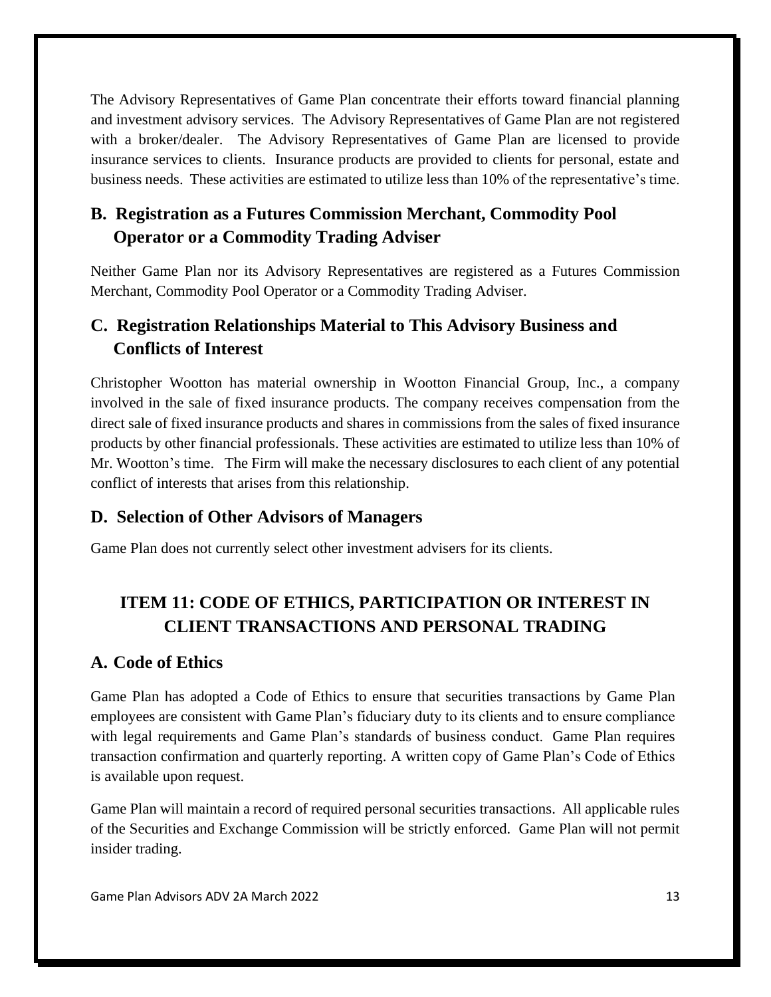The Advisory Representatives of Game Plan concentrate their efforts toward financial planning and investment advisory services. The Advisory Representatives of Game Plan are not registered with a broker/dealer. The Advisory Representatives of Game Plan are licensed to provide insurance services to clients. Insurance products are provided to clients for personal, estate and business needs. These activities are estimated to utilize less than 10% of the representative's time.

# **B. Registration as a Futures Commission Merchant, Commodity Pool Operator or a Commodity Trading Adviser**

Neither Game Plan nor its Advisory Representatives are registered as a Futures Commission Merchant, Commodity Pool Operator or a Commodity Trading Adviser.

# **C. Registration Relationships Material to This Advisory Business and Conflicts of Interest**

Christopher Wootton has material ownership in Wootton Financial Group, Inc., a company involved in the sale of fixed insurance products. The company receives compensation from the direct sale of fixed insurance products and shares in commissions from the sales of fixed insurance products by other financial professionals. These activities are estimated to utilize less than 10% of Mr. Wootton's time. The Firm will make the necessary disclosures to each client of any potential conflict of interests that arises from this relationship.

# **D. Selection of Other Advisors of Managers**

Game Plan does not currently select other investment advisers for its clients.

# <span id="page-14-0"></span>**ITEM 11: CODE OF ETHICS, PARTICIPATION OR INTEREST IN CLIENT TRANSACTIONS AND PERSONAL TRADING**

# **A. Code of Ethics**

Game Plan has adopted a Code of Ethics to ensure that securities transactions by Game Plan employees are consistent with Game Plan's fiduciary duty to its clients and to ensure compliance with legal requirements and Game Plan's standards of business conduct. Game Plan requires transaction confirmation and quarterly reporting. A written copy of Game Plan's Code of Ethics is available upon request.

Game Plan will maintain a record of required personal securities transactions. All applicable rules of the Securities and Exchange Commission will be strictly enforced. Game Plan will not permit insider trading.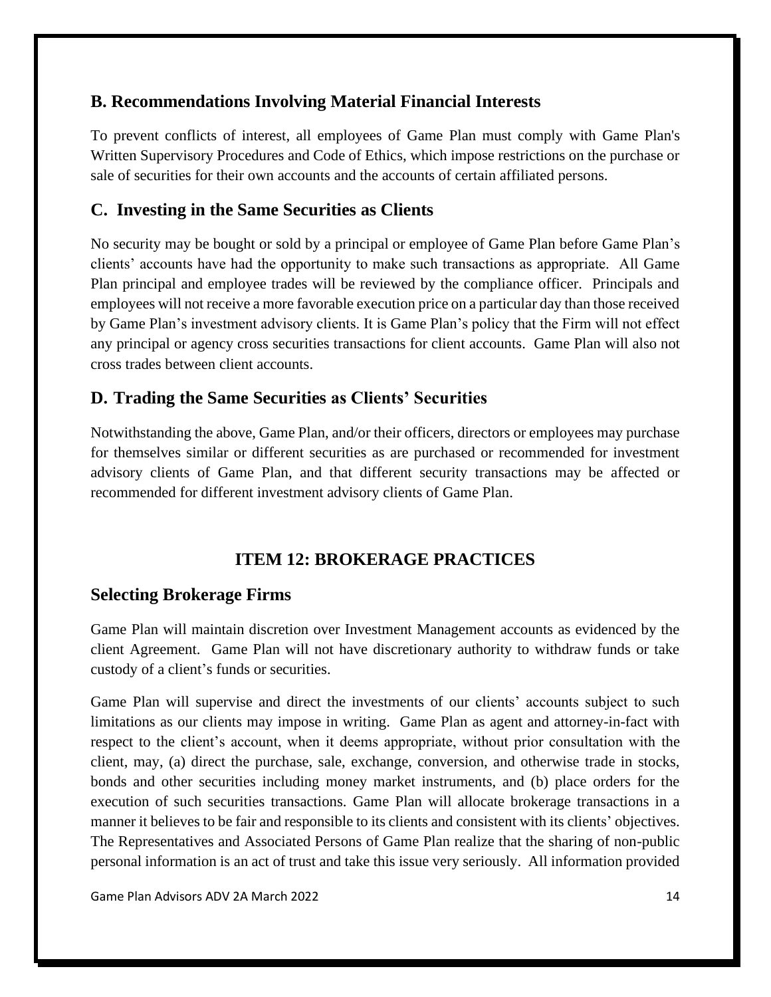# **B. Recommendations Involving Material Financial Interests**

To prevent conflicts of interest, all employees of Game Plan must comply with Game Plan's Written Supervisory Procedures and Code of Ethics, which impose restrictions on the purchase or sale of securities for their own accounts and the accounts of certain affiliated persons.

# **C. Investing in the Same Securities as Clients**

No security may be bought or sold by a principal or employee of Game Plan before Game Plan's clients' accounts have had the opportunity to make such transactions as appropriate. All Game Plan principal and employee trades will be reviewed by the compliance officer. Principals and employees will not receive a more favorable execution price on a particular day than those received by Game Plan's investment advisory clients. It is Game Plan's policy that the Firm will not effect any principal or agency cross securities transactions for client accounts. Game Plan will also not cross trades between client accounts.

# **D. Trading the Same Securities as Clients' Securities**

Notwithstanding the above, Game Plan, and/or their officers, directors or employees may purchase for themselves similar or different securities as are purchased or recommended for investment advisory clients of Game Plan, and that different security transactions may be affected or recommended for different investment advisory clients of Game Plan.

# **ITEM 12: BROKERAGE PRACTICES**

# <span id="page-15-0"></span>**Selecting Brokerage Firms**

Game Plan will maintain discretion over Investment Management accounts as evidenced by the client Agreement. Game Plan will not have discretionary authority to withdraw funds or take custody of a client's funds or securities.

Game Plan will supervise and direct the investments of our clients' accounts subject to such limitations as our clients may impose in writing. Game Plan as agent and attorney-in-fact with respect to the client's account, when it deems appropriate, without prior consultation with the client, may, (a) direct the purchase, sale, exchange, conversion, and otherwise trade in stocks, bonds and other securities including money market instruments, and (b) place orders for the execution of such securities transactions. Game Plan will allocate brokerage transactions in a manner it believes to be fair and responsible to its clients and consistent with its clients' objectives. The Representatives and Associated Persons of Game Plan realize that the sharing of non-public personal information is an act of trust and take this issue very seriously. All information provided

Game Plan Advisors ADV 2A March 2022 14 and 2012 14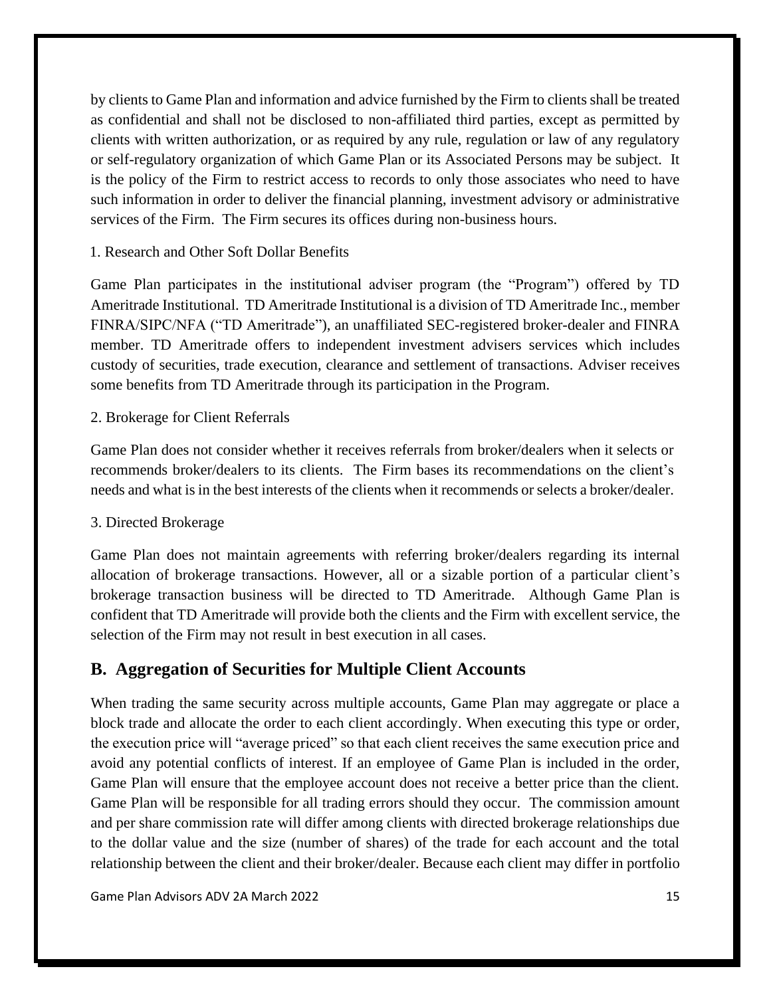by clients to Game Plan and information and advice furnished by the Firm to clients shall be treated as confidential and shall not be disclosed to non-affiliated third parties, except as permitted by clients with written authorization, or as required by any rule, regulation or law of any regulatory or self-regulatory organization of which Game Plan or its Associated Persons may be subject. It is the policy of the Firm to restrict access to records to only those associates who need to have such information in order to deliver the financial planning, investment advisory or administrative services of the Firm. The Firm secures its offices during non-business hours.

#### 1. Research and Other Soft Dollar Benefits

Game Plan participates in the institutional adviser program (the "Program") offered by TD Ameritrade Institutional. TD Ameritrade Institutional is a division of TD Ameritrade Inc., member FINRA/SIPC/NFA ("TD Ameritrade"), an unaffiliated SEC-registered broker-dealer and FINRA member. TD Ameritrade offers to independent investment advisers services which includes custody of securities, trade execution, clearance and settlement of transactions. Adviser receives some benefits from TD Ameritrade through its participation in the Program.

#### 2. Brokerage for Client Referrals

Game Plan does not consider whether it receives referrals from broker/dealers when it selects or recommends broker/dealers to its clients. The Firm bases its recommendations on the client's needs and what is in the best interests of the clients when it recommends or selects a broker/dealer.

#### 3. Directed Brokerage

Game Plan does not maintain agreements with referring broker/dealers regarding its internal allocation of brokerage transactions. However, all or a sizable portion of a particular client's brokerage transaction business will be directed to TD Ameritrade. Although Game Plan is confident that TD Ameritrade will provide both the clients and the Firm with excellent service, the selection of the Firm may not result in best execution in all cases.

#### **B. Aggregation of Securities for Multiple Client Accounts**

When trading the same security across multiple accounts, Game Plan may aggregate or place a block trade and allocate the order to each client accordingly. When executing this type or order, the execution price will "average priced" so that each client receives the same execution price and avoid any potential conflicts of interest. If an employee of Game Plan is included in the order, Game Plan will ensure that the employee account does not receive a better price than the client. Game Plan will be responsible for all trading errors should they occur. The commission amount and per share commission rate will differ among clients with directed brokerage relationships due to the dollar value and the size (number of shares) of the trade for each account and the total relationship between the client and their broker/dealer. Because each client may differ in portfolio

Game Plan Advisors ADV 2A March 2022 15 and 2008 15 and 2012 15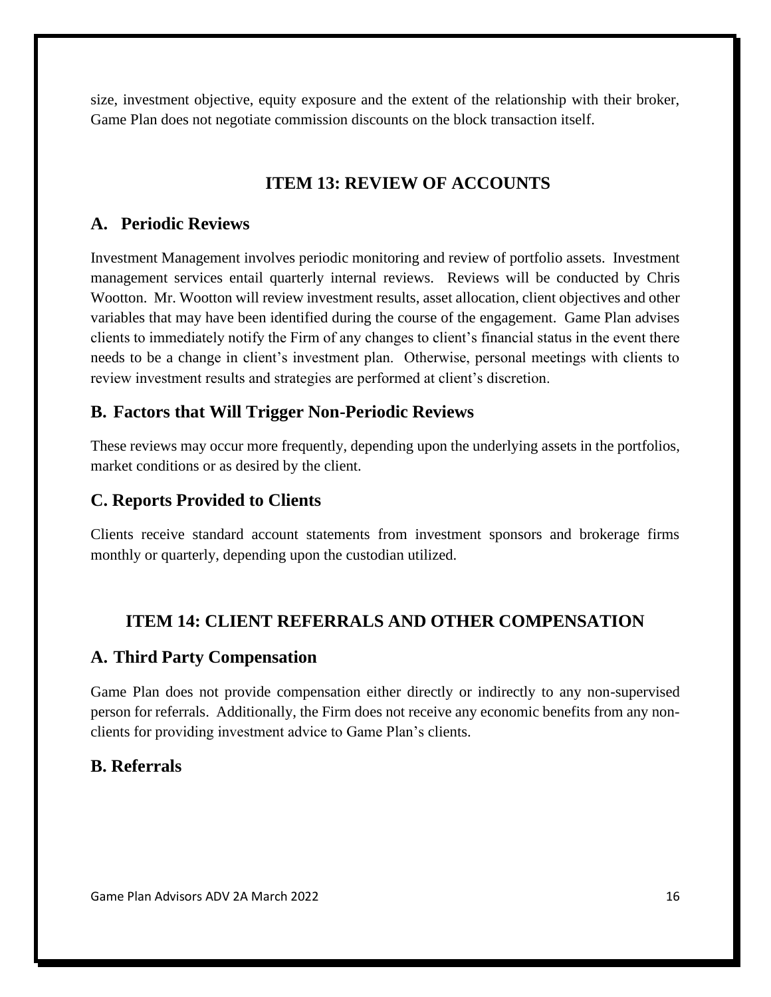size, investment objective, equity exposure and the extent of the relationship with their broker, Game Plan does not negotiate commission discounts on the block transaction itself.

# **ITEM 13: REVIEW OF ACCOUNTS**

# <span id="page-17-0"></span>**A. Periodic Reviews**

Investment Management involves periodic monitoring and review of portfolio assets. Investment management services entail quarterly internal reviews. Reviews will be conducted by Chris Wootton. Mr. Wootton will review investment results, asset allocation, client objectives and other variables that may have been identified during the course of the engagement. Game Plan advises clients to immediately notify the Firm of any changes to client's financial status in the event there needs to be a change in client's investment plan. Otherwise, personal meetings with clients to review investment results and strategies are performed at client's discretion.

## **B. Factors that Will Trigger Non-Periodic Reviews**

These reviews may occur more frequently, depending upon the underlying assets in the portfolios, market conditions or as desired by the client.

# **C. Reports Provided to Clients**

Clients receive standard account statements from investment sponsors and brokerage firms monthly or quarterly, depending upon the custodian utilized.

# **ITEM 14: CLIENT REFERRALS AND OTHER COMPENSATION**

## <span id="page-17-1"></span>**A. Third Party Compensation**

Game Plan does not provide compensation either directly or indirectly to any non-supervised person for referrals. Additionally, the Firm does not receive any economic benefits from any nonclients for providing investment advice to Game Plan's clients.

# **B. Referrals**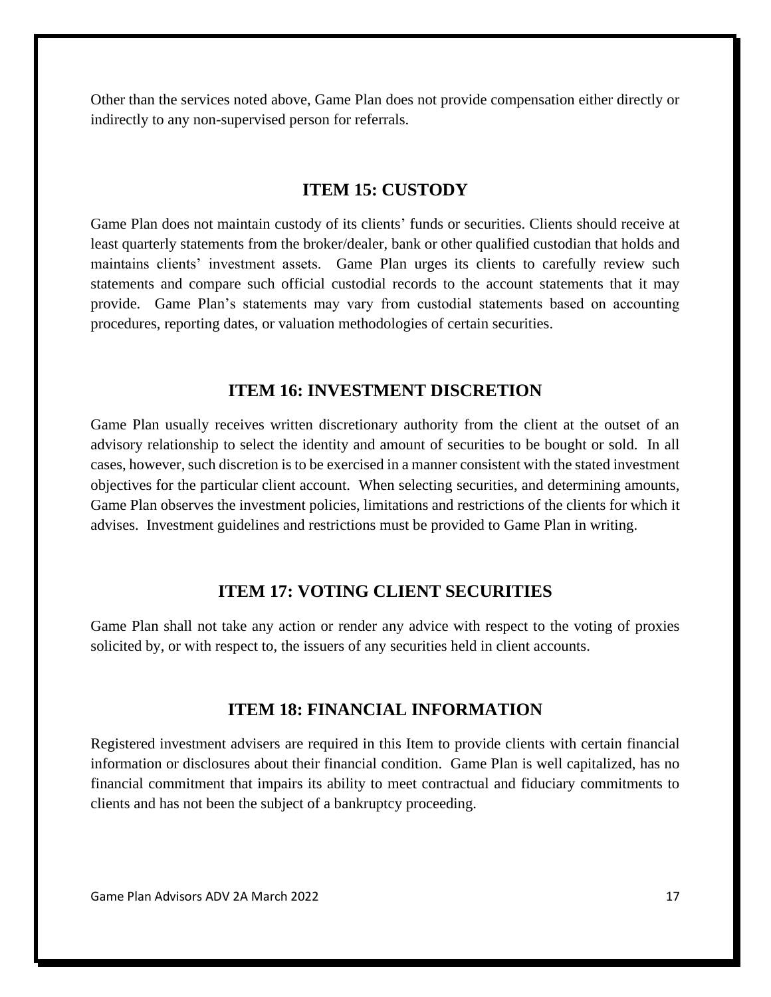Other than the services noted above, Game Plan does not provide compensation either directly or indirectly to any non-supervised person for referrals.

#### **ITEM 15: CUSTODY**

<span id="page-18-0"></span>Game Plan does not maintain custody of its clients' funds or securities. Clients should receive at least quarterly statements from the broker/dealer, bank or other qualified custodian that holds and maintains clients' investment assets. Game Plan urges its clients to carefully review such statements and compare such official custodial records to the account statements that it may provide. Game Plan's statements may vary from custodial statements based on accounting procedures, reporting dates, or valuation methodologies of certain securities.

#### **ITEM 16: INVESTMENT DISCRETION**

<span id="page-18-1"></span>Game Plan usually receives written discretionary authority from the client at the outset of an advisory relationship to select the identity and amount of securities to be bought or sold. In all cases, however, such discretion is to be exercised in a manner consistent with the stated investment objectives for the particular client account. When selecting securities, and determining amounts, Game Plan observes the investment policies, limitations and restrictions of the clients for which it advises. Investment guidelines and restrictions must be provided to Game Plan in writing.

### **ITEM 17: VOTING CLIENT SECURITIES**

<span id="page-18-2"></span>Game Plan shall not take any action or render any advice with respect to the voting of proxies solicited by, or with respect to, the issuers of any securities held in client accounts.

#### **ITEM 18: FINANCIAL INFORMATION**

<span id="page-18-3"></span>Registered investment advisers are required in this Item to provide clients with certain financial information or disclosures about their financial condition. Game Plan is well capitalized, has no financial commitment that impairs its ability to meet contractual and fiduciary commitments to clients and has not been the subject of a bankruptcy proceeding.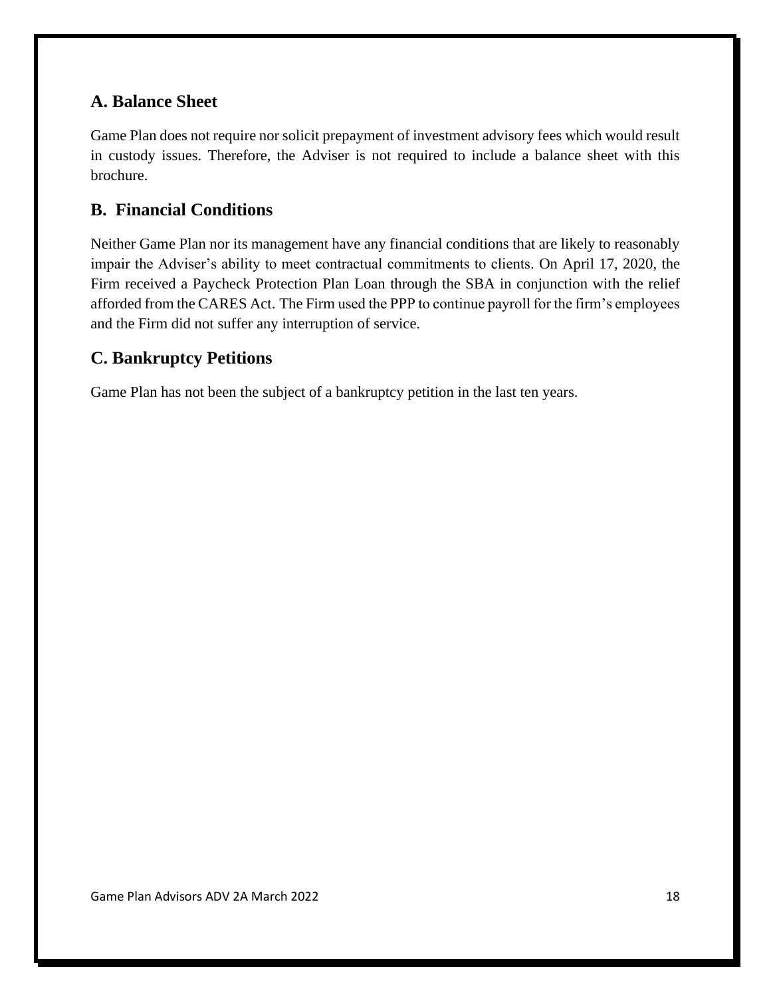# **A. Balance Sheet**

Game Plan does not require nor solicit prepayment of investment advisory fees which would result in custody issues. Therefore, the Adviser is not required to include a balance sheet with this brochure.

# **B. Financial Conditions**

Neither Game Plan nor its management have any financial conditions that are likely to reasonably impair the Adviser's ability to meet contractual commitments to clients. On April 17, 2020, the Firm received a Paycheck Protection Plan Loan through the SBA in conjunction with the relief afforded from the CARES Act. The Firm used the PPP to continue payroll for the firm's employees and the Firm did not suffer any interruption of service.

# **C. Bankruptcy Petitions**

Game Plan has not been the subject of a bankruptcy petition in the last ten years.